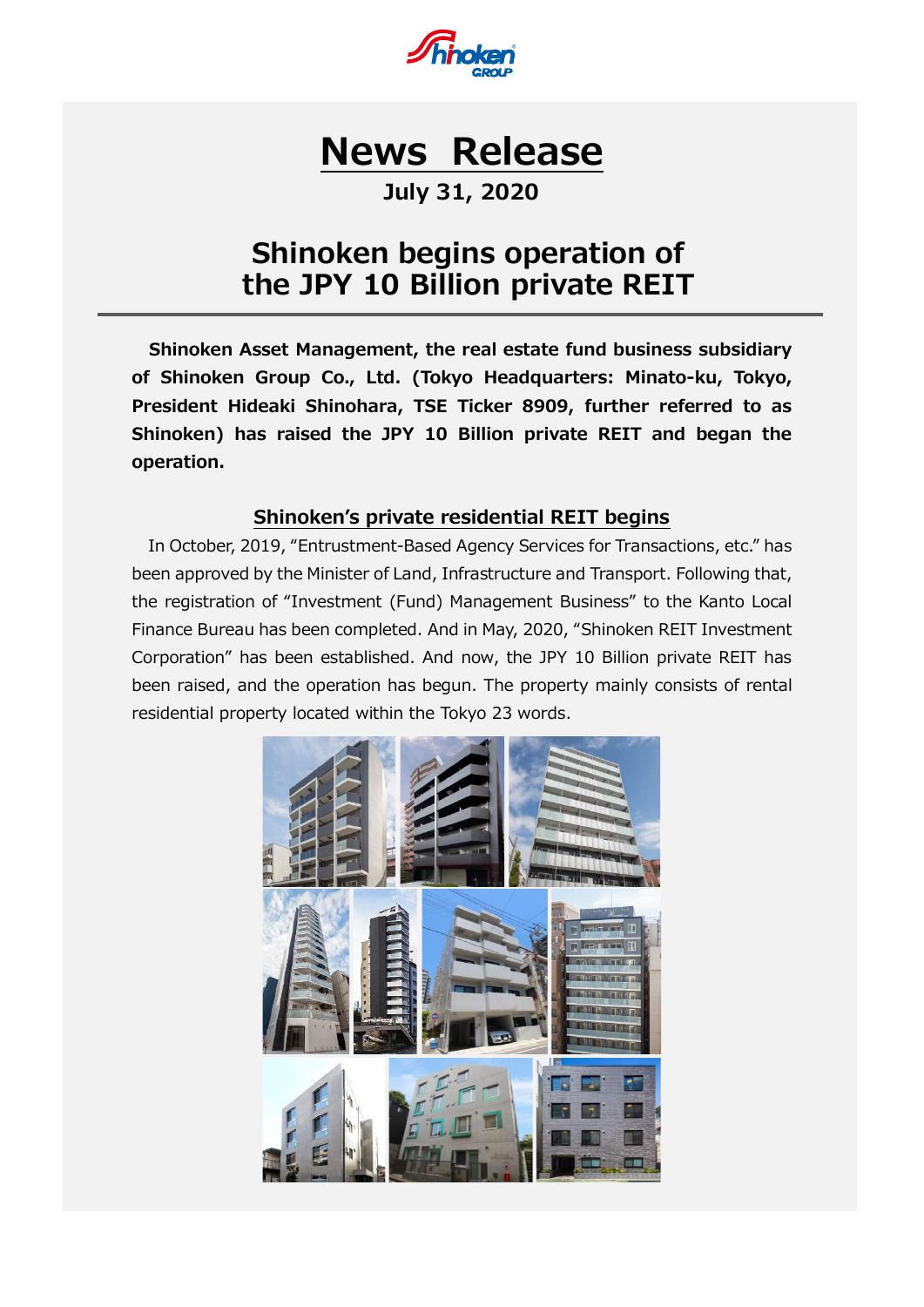

# **News Release**

# **July 31, 2020**

# **Shinoken begins operation of the JPY 10 Billion private REIT**

**Shinoken Asset Management, the real estate fund business subsidiary of Shinoken Group Co., Ltd. (Tokyo Headquarters: Minato-ku, Tokyo, President Hideaki Shinohara, TSE Ticker 8909, further referred to as Shinoken) has raised the JPY 10 Billion private REIT and began the operation.**

### **Shinoken's private residential REIT begins**

In October, 2019, "Entrustment-Based Agency Services for Transactions, etc." has been approved by the Minister of Land, Infrastructure and Transport. Following that, the registration of "Investment (Fund) Management Business" to the Kanto Local Finance Bureau has been completed. And in May, 2020, "Shinoken REIT Investment Corporation" has been established. And now, the JPY 10 Billion private REIT has been raised, and the operation has begun. The property mainly consists of rental residential property located within the Tokyo 23 words.